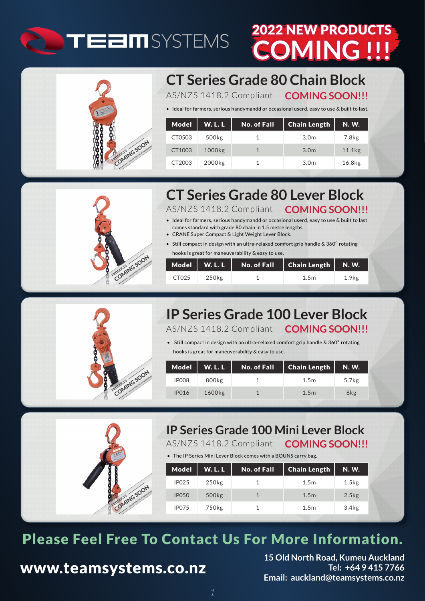

# **NING !!!** 2022 NEW PRODUCTS



**CT Series Grade 80 Chain Block**

AS/NZS 1418.2 Compliant **COMING SOON!!!**

• Ideal for farmers, serious handymandd or occasional userd, easy to use & built to last.

| Model  | <b>W.L.L</b>       | No. of Fall | <b>Chain Length</b> | <b>N.W.</b>        |
|--------|--------------------|-------------|---------------------|--------------------|
| CT0503 | 500 <sub>kg</sub>  |             | 3.0 <sub>m</sub>    | 7.8 <sub>kg</sub>  |
| CT1003 | 1000 <sub>kg</sub> |             | 3.0 <sub>m</sub>    | 11.1 <sub>kg</sub> |
| CT2003 | 2000kg             |             | 3.0 <sub>m</sub>    | 16.8 <sub>kg</sub> |



# **CT Series Grade 80 Lever Block**

AS/NZS 1418.2 Compliant • Ideal for farmers, serious handymandd or occasional userd, easy to use & built to last **COMING SOON!!!**

- comes standard with grade 80 chain in 1.5 metre lengths.
- CRANE Super Compact & Light Weight Lever Block.
- Still compact in design with an ultra-relaxed comfort grip handle & 360° rotating hooks is great for maneuverability & easy to use.

| CT025 | 250kg | 1.5m | 1.9 <sub>kg</sub> |
|-------|-------|------|-------------------|



## AS/NZS 1418.2 Compliant **COMING SOON!!! IP Series Grade 100 Lever Block**

• Still compact in design with an ultra-relaxed comfort grip handle & 360° rotating

hooks is great for maneuverability & easy to use.

| Model        | <b>W.L.L</b>       | $\mathsf{No.}$ of Fall $\mathsf '$ | <b>Chain Length</b> | <b>N.W.</b>       |
|--------------|--------------------|------------------------------------|---------------------|-------------------|
| IPO08        | 800kg              |                                    | 1.5 <sub>m</sub>    | 5.7 <sub>kg</sub> |
| <b>IP016</b> | 1600 <sub>kg</sub> |                                    | 1.5m                | 8kg               |



## **IP Series Grade 100 Mini Lever Block**

AS/NZS 1418.2 Compliant **COMING SOON!!!**

• The IP Series Mini Lever Block comes with a BOUNS carry bag.

| <b>Model</b> | <b>W.L.L</b>      | <b>No. of Fall</b> | <b>Chain Length</b> | <b>N.W.</b>       |
|--------------|-------------------|--------------------|---------------------|-------------------|
| <b>IP025</b> | 250 <sub>kg</sub> |                    | 1.5 <sub>m</sub>    | 1.5 <sub>kg</sub> |
| <b>IP050</b> | 500kg             |                    | 1.5m                | 2.5 <sub>kg</sub> |
| <b>IP075</b> | 750 <sub>kg</sub> |                    | 1.5 <sub>m</sub>    | 3.4 <sub>kg</sub> |

# Please Feel Free To Contact Us For More Information.

## www.teamsystems.co.nz

**15 Old North Road, Kumeu Auckland Tel: +64 9 415 7766 Email: auckland@teamsystems.co.nz**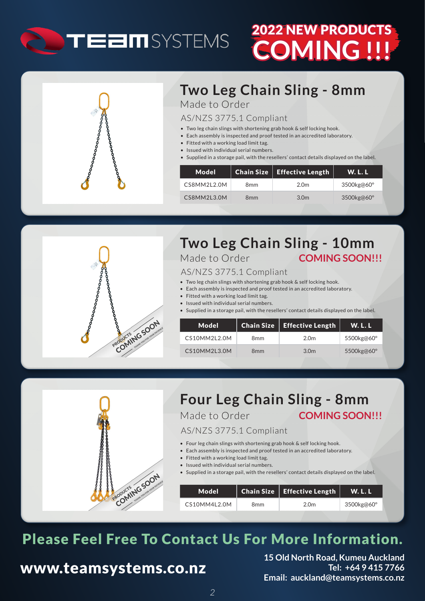

# **COMING !!!** 2022 NEW PRODUCTS



## **Two Leg Chain Sling - 8mm** Made to Order

#### AS/NZS 3775.1 Compliant

- Two leg chain slings with shortening grab hook & self locking hook.
- Each assembly is inspected and proof tested in an accredited laboratory.
- Fitted with a working load limit tag.
- Issued with individual serial numbers.
- Supplied in a storage pail, with the resellers' contact details displayed on the label.

| Model       |                 | Chain Size   Effective Length | <b>W.L.L</b> |
|-------------|-----------------|-------------------------------|--------------|
| CS8MM2L2.0M | 8mm             | 2.0 <sub>m</sub>              | 3500kg@60°   |
| CS8MM2L3.0M | 8 <sub>mm</sub> | 3.0 <sub>m</sub>              | 3500kg@60°   |



## **Two Leg Chain Sling - 10mm** Made to Order **COMING SOON!!!**

#### AS/NZS 3775.1 Compliant

- Two leg chain slings with shortening grab hook & self locking hook.
- Each assembly is inspected and proof tested in an accredited laboratory.
- Fitted with a working load limit tag.
- Issued with individual serial numbers.
- Supplied in a storage pail, with the resellers' contact details displayed on the label.

| Model        |                 | <b>Chain Size</b>   Effective Length | <b>W.L.L</b> |
|--------------|-----------------|--------------------------------------|--------------|
| CS10MM2L2.0M | 8 <sub>mm</sub> | 2.0 <sub>m</sub>                     | 5500kg@60°   |
| CS10MM2L3.0M | 8 <sub>mm</sub> | 3.0 <sub>m</sub>                     | 5500kg@60°   |



## **Four Leg Chain Sling - 8mm**

Made to Order **COMING SOON!!!** 

#### AS/NZS 3775.1 Compliant

- Four leg chain slings with shortening grab hook & self locking hook.
- Each assembly is inspected and proof tested in an accredited laboratory.
- Fitted with a working load limit tag.
- Issued with individual serial numbers.

• Supplied in a storage pail, with the resellers' contact details displayed on the label.

| Model        |     | $\mid$ Chain Size $\mid$ Effective Length | W. L. L    |
|--------------|-----|-------------------------------------------|------------|
| CS10MM4L2.0M | 8mm | 2.0 <sub>m</sub>                          | 3500kg@60° |

# Please Feel Free To Contact Us For More Information.

## www.teamsystems.co.nz

**15 Old North Road, Kumeu Auckland Tel: +64 9 415 7766 Email: auckland@teamsystems.co.nz**